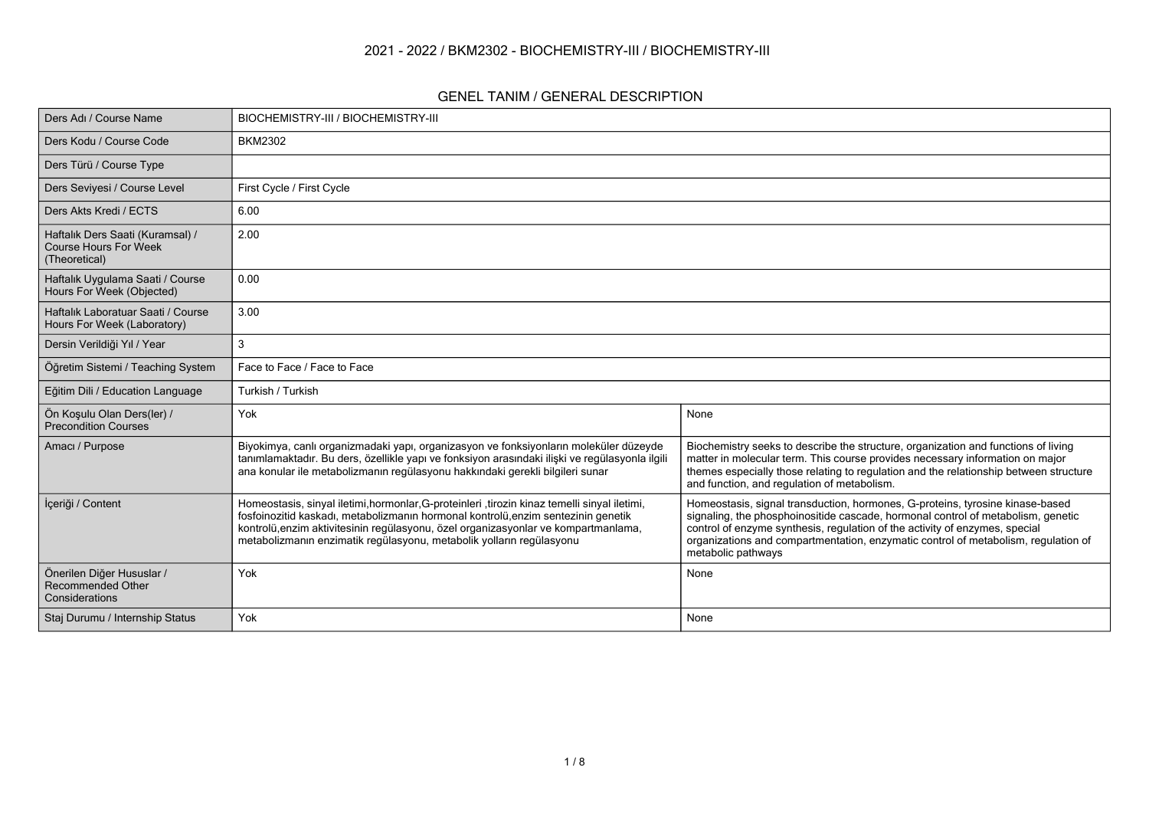### **2021 - 2022 / BKM2302 - BIOCHEMISTRY-III / BIOCHEMISTRY-III**

#### **GENEL TANIM / GENERAL DESCRIPTION**

| Ders Adı / Course Name                                                            | BIOCHEMISTRY-III / BIOCHEMISTRY-III                                                                                                                                                                                                                                                                                                             |                                                                                                                                                                                                                                                                                                                                                              |
|-----------------------------------------------------------------------------------|-------------------------------------------------------------------------------------------------------------------------------------------------------------------------------------------------------------------------------------------------------------------------------------------------------------------------------------------------|--------------------------------------------------------------------------------------------------------------------------------------------------------------------------------------------------------------------------------------------------------------------------------------------------------------------------------------------------------------|
| Ders Kodu / Course Code                                                           | <b>BKM2302</b>                                                                                                                                                                                                                                                                                                                                  |                                                                                                                                                                                                                                                                                                                                                              |
| Ders Türü / Course Type                                                           |                                                                                                                                                                                                                                                                                                                                                 |                                                                                                                                                                                                                                                                                                                                                              |
| Ders Seviyesi / Course Level                                                      | First Cycle / First Cycle                                                                                                                                                                                                                                                                                                                       |                                                                                                                                                                                                                                                                                                                                                              |
| Ders Akts Kredi / ECTS                                                            | 6.00                                                                                                                                                                                                                                                                                                                                            |                                                                                                                                                                                                                                                                                                                                                              |
| Haftalık Ders Saati (Kuramsal) /<br><b>Course Hours For Week</b><br>(Theoretical) | 2.00                                                                                                                                                                                                                                                                                                                                            |                                                                                                                                                                                                                                                                                                                                                              |
| Haftalık Uygulama Saati / Course<br>Hours For Week (Objected)                     | 0.00                                                                                                                                                                                                                                                                                                                                            |                                                                                                                                                                                                                                                                                                                                                              |
| Haftalık Laboratuar Saati / Course<br>Hours For Week (Laboratory)                 | 3.00                                                                                                                                                                                                                                                                                                                                            |                                                                                                                                                                                                                                                                                                                                                              |
| Dersin Verildiği Yıl / Year                                                       | 3                                                                                                                                                                                                                                                                                                                                               |                                                                                                                                                                                                                                                                                                                                                              |
| Öğretim Sistemi / Teaching System                                                 | Face to Face / Face to Face                                                                                                                                                                                                                                                                                                                     |                                                                                                                                                                                                                                                                                                                                                              |
| Eğitim Dili / Education Language                                                  | Turkish / Turkish                                                                                                                                                                                                                                                                                                                               |                                                                                                                                                                                                                                                                                                                                                              |
| Ön Koşulu Olan Ders(ler) /<br><b>Precondition Courses</b>                         | Yok                                                                                                                                                                                                                                                                                                                                             | None                                                                                                                                                                                                                                                                                                                                                         |
| Amacı / Purpose                                                                   | Biyokimya, canlı organizmadaki yapı, organizasyon ve fonksiyonların moleküler düzeyde<br>tanımlamaktadır. Bu ders, özellikle yapı ve fonksiyon arasındaki ilişki ve regülasyonla ilgili<br>ana konular ile metabolizmanın regülasyonu hakkındaki gerekli bilgileri sunar                                                                        | Biochemistry seeks to describe the structure, organization and functions of living<br>matter in molecular term. This course provides necessary information on major<br>themes especially those relating to regulation and the relationship between structure<br>and function, and regulation of metabolism.                                                  |
| İçeriği / Content                                                                 | Homeostasis, sinyal iletimi, hormonlar, G-proteinleri, tirozin kinaz temelli sinyal iletimi,<br>fosfoinozitid kaskadı, metabolizmanın hormonal kontrolü, enzim sentezinin genetik<br>kontrolü, enzim aktivitesinin regülasyonu, özel organizasyonlar ve kompartmanlama,<br>metabolizmanın enzimatik regülasyonu, metabolik yolların regülasyonu | Homeostasis, signal transduction, hormones, G-proteins, tyrosine kinase-based<br>signaling, the phosphoinositide cascade, hormonal control of metabolism, genetic<br>control of enzyme synthesis, regulation of the activity of enzymes, special<br>organizations and compartmentation, enzymatic control of metabolism, requlation of<br>metabolic pathways |
| Önerilen Diğer Hususlar /<br><b>Recommended Other</b><br>Considerations           | Yok                                                                                                                                                                                                                                                                                                                                             | None                                                                                                                                                                                                                                                                                                                                                         |
| Staj Durumu / Internship Status                                                   | Yok                                                                                                                                                                                                                                                                                                                                             | None                                                                                                                                                                                                                                                                                                                                                         |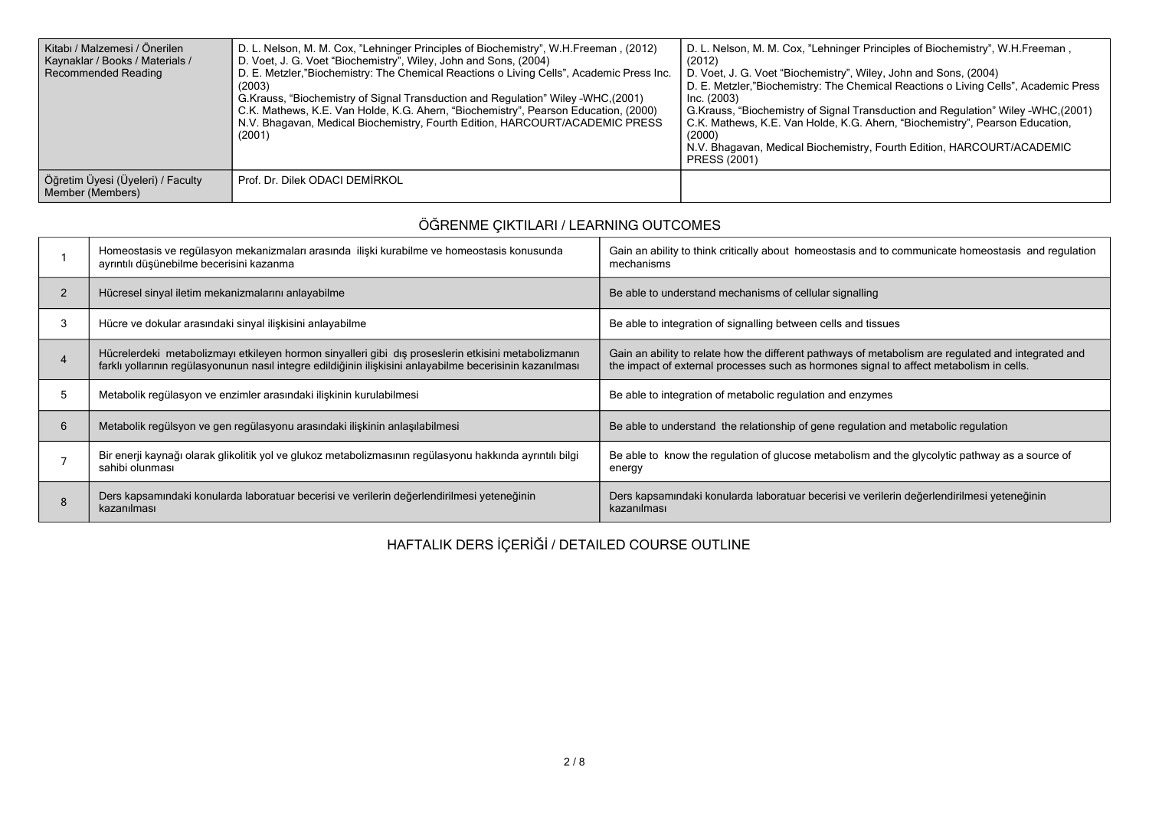| Kitabı / Malzemesi / Önerilen<br>Kaynaklar / Books / Materials /<br>Recommended Reading | D. L. Nelson, M. M. Cox, "Lehninger Principles of Biochemistry", W.H.Freeman, (2012)<br>D. Voet, J. G. Voet "Biochemistry", Wiley, John and Sons, (2004)<br>D. E. Metzler, "Biochemistry: The Chemical Reactions o Living Cells", Academic Press Inc.<br>(2003)<br>G. Krauss, "Biochemistry of Signal Transduction and Regulation" Wiley -WHC. (2001)<br>C.K. Mathews, K.E. Van Holde, K.G. Ahern, "Biochemistry", Pearson Education, (2000)<br>N.V. Bhagavan, Medical Biochemistry, Fourth Edition, HARCOURT/ACADEMIC PRESS<br>(2001) | D. L. Nelson, M. M. Cox, "Lehninger Principles of Biochemistry", W.H.Freeman,<br>(2012)<br>D. Voet, J. G. Voet "Biochemistry", Wiley, John and Sons, (2004)<br>D. E. Metzler, "Biochemistry: The Chemical Reactions o Living Cells", Academic Press<br>Inc. (2003)<br>G.Krauss, "Biochemistry of Signal Transduction and Regulation" Wiley -WHC, (2001)<br>C.K. Mathews, K.E. Van Holde, K.G. Ahern, "Biochemistry", Pearson Education,<br>(2000)<br>N.V. Bhagavan, Medical Biochemistry, Fourth Edition, HARCOURT/ACADEMIC<br>PRESS (2001) |
|-----------------------------------------------------------------------------------------|----------------------------------------------------------------------------------------------------------------------------------------------------------------------------------------------------------------------------------------------------------------------------------------------------------------------------------------------------------------------------------------------------------------------------------------------------------------------------------------------------------------------------------------|---------------------------------------------------------------------------------------------------------------------------------------------------------------------------------------------------------------------------------------------------------------------------------------------------------------------------------------------------------------------------------------------------------------------------------------------------------------------------------------------------------------------------------------------|
| Öğretim Üyesi (Üyeleri) / Faculty<br>Member (Members)                                   | Prof. Dr. Dilek ODACI DEMIRKOL                                                                                                                                                                                                                                                                                                                                                                                                                                                                                                         |                                                                                                                                                                                                                                                                                                                                                                                                                                                                                                                                             |

# **ÖĞRENME ÇIKTILARI / LEARNING OUTCOMES**

|                | Homeostasis ve regülasyon mekanizmaları arasında ilişki kurabilme ve homeostasis konusunda<br>ayrıntılı düşünebilme becerisini kazanma                                                                           | Gain an ability to think critically about homeostasis and to communicate homeostasis and regulation<br>mechanisms                                                                              |
|----------------|------------------------------------------------------------------------------------------------------------------------------------------------------------------------------------------------------------------|------------------------------------------------------------------------------------------------------------------------------------------------------------------------------------------------|
| $\overline{2}$ | Hücresel sinyal iletim mekanizmalarını anlayabilme                                                                                                                                                               | Be able to understand mechanisms of cellular signalling                                                                                                                                        |
| 3              | Hücre ve dokular arasındaki sinyal ilişkisini anlayabilme                                                                                                                                                        | Be able to integration of signalling between cells and tissues                                                                                                                                 |
|                | Hücrelerdeki metabolizmayı etkileyen hormon sinyalleri gibi dış proseslerin etkisini metabolizmanın<br>farklı yollarının regülasyonunun nasıl integre edildiğinin ilişkisini anlayabilme becerisinin kazanılması | Gain an ability to relate how the different pathways of metabolism are regulated and integrated and<br>the impact of external processes such as hormones signal to affect metabolism in cells. |
| 5              | Metabolik regülasyon ve enzimler arasındaki ilişkinin kurulabilmesi                                                                                                                                              | Be able to integration of metabolic regulation and enzymes                                                                                                                                     |
| 6              | Metabolik regülsyon ve gen regülasyonu arasındaki ilişkinin anlaşılabilmesi                                                                                                                                      | Be able to understand the relationship of gene regulation and metabolic regulation                                                                                                             |
|                | Bir enerji kaynağı olarak glikolitik yol ve glukoz metabolizmasının regülasyonu hakkında ayrıntılı bilgi<br>sahibi olunması                                                                                      | Be able to know the regulation of glucose metabolism and the glycolytic pathway as a source of<br>energy                                                                                       |
|                | Ders kapsamındaki konularda laboratuar becerisi ve verilerin değerlendirilmesi yeteneğinin<br>kazanılması                                                                                                        | Ders kapsamındaki konularda laboratuar becerisi ve verilerin değerlendirilmesi yeteneğinin<br>kazanılması                                                                                      |

**HAFTALIK DERS İÇERİĞİ / DETAILED COURSE OUTLINE**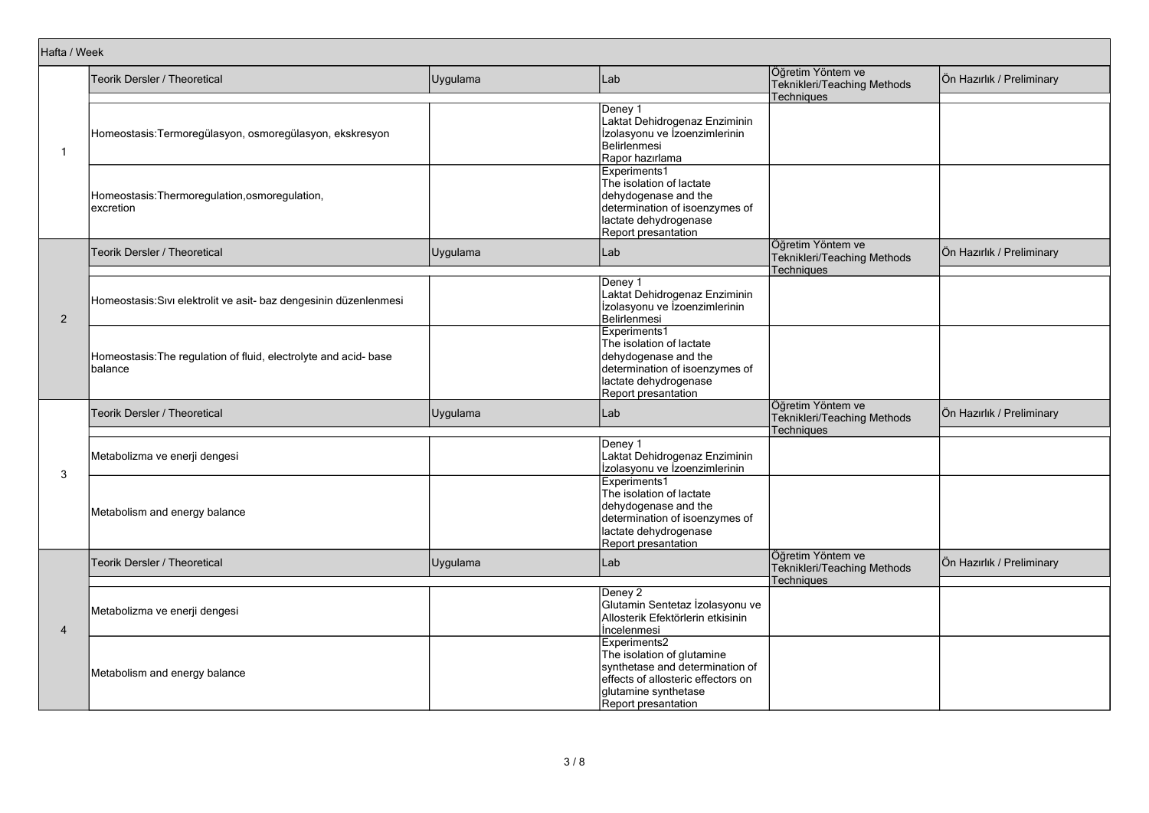|                                                             | Teorik Dersler / Theoretical                                                | Uygulama | Lab                                                                                                                                                                | Öğretim Yöntem ve<br>Teknikleri/Teaching Methods<br><b>Techniques</b> | Ön Hazırlık / Preliminary |
|-------------------------------------------------------------|-----------------------------------------------------------------------------|----------|--------------------------------------------------------------------------------------------------------------------------------------------------------------------|-----------------------------------------------------------------------|---------------------------|
| Hafta / Week<br>-1<br>$\overline{2}$<br>3<br>$\overline{4}$ | Homeostasis:Termoregülasyon, osmoregülasyon, ekskresyon                     |          | Deney 1<br>Laktat Dehidrogenaz Enziminin<br>Izolasyonu ve Izoenzimlerinin<br>Belirlenmesi<br>Rapor hazırlama                                                       |                                                                       |                           |
|                                                             | Homeostasis: Thermoregulation, osmoregulation,<br>excretion                 |          | Experiments1<br>The isolation of lactate<br>dehydogenase and the<br>determination of isoenzymes of<br>lactate dehydrogenase<br>Report presantation                 |                                                                       |                           |
|                                                             | Teorik Dersler / Theoretical                                                | Uygulama | Lab                                                                                                                                                                | Öğretim Yöntem ve<br>Teknikleri/Teaching Methods                      | Ön Hazırlık / Preliminary |
|                                                             | Homeostasis: Sıvı elektrolit ve asit- baz dengesinin düzenlenmesi           |          | Deney 1<br>Laktat Dehidrogenaz Enziminin<br>Izolasyonu ve Izoenzimlerinin<br>Belirlenmesi                                                                          | <b>Techniques</b>                                                     |                           |
|                                                             | Homeostasis: The regulation of fluid, electrolyte and acid- base<br>balance |          | Experiments1<br>The isolation of lactate<br>dehydogenase and the<br>determination of isoenzymes of<br>lactate dehydrogenase<br>Report presantation                 |                                                                       |                           |
|                                                             | Teorik Dersler / Theoretical                                                | Uygulama | Lab                                                                                                                                                                | Öğretim Yöntem ve<br>Teknikleri/Teaching Methods<br>Techniques        | Ön Hazırlık / Preliminary |
|                                                             | Metabolizma ve enerji dengesi                                               |          | Deney 1<br>Laktat Dehidrogenaz Enziminin<br>Izolasyonu ve Izoenzimlerinin                                                                                          |                                                                       |                           |
|                                                             | Metabolism and energy balance                                               |          | Experiments1<br>The isolation of lactate<br>dehydogenase and the<br>determination of isoenzymes of<br>lactate dehydrogenase<br>Report presantation                 |                                                                       |                           |
|                                                             | Teorik Dersler / Theoretical                                                | Uygulama | Lab                                                                                                                                                                | Öğretim Yöntem ve<br>Teknikleri/Teaching Methods                      | Ön Hazırlık / Preliminary |
|                                                             | Metabolizma ve enerji dengesi                                               |          | Deney 2<br>Glutamin Sentetaz İzolasyonu ve<br>Allosterik Efektörlerin etkisinin<br>Incelenmesi                                                                     | <b>Techniques</b>                                                     |                           |
|                                                             | Metabolism and energy balance                                               |          | Experiments2<br>The isolation of glutamine<br>synthetase and determination of<br>effects of allosteric effectors on<br>glutamine synthetase<br>Report presantation |                                                                       |                           |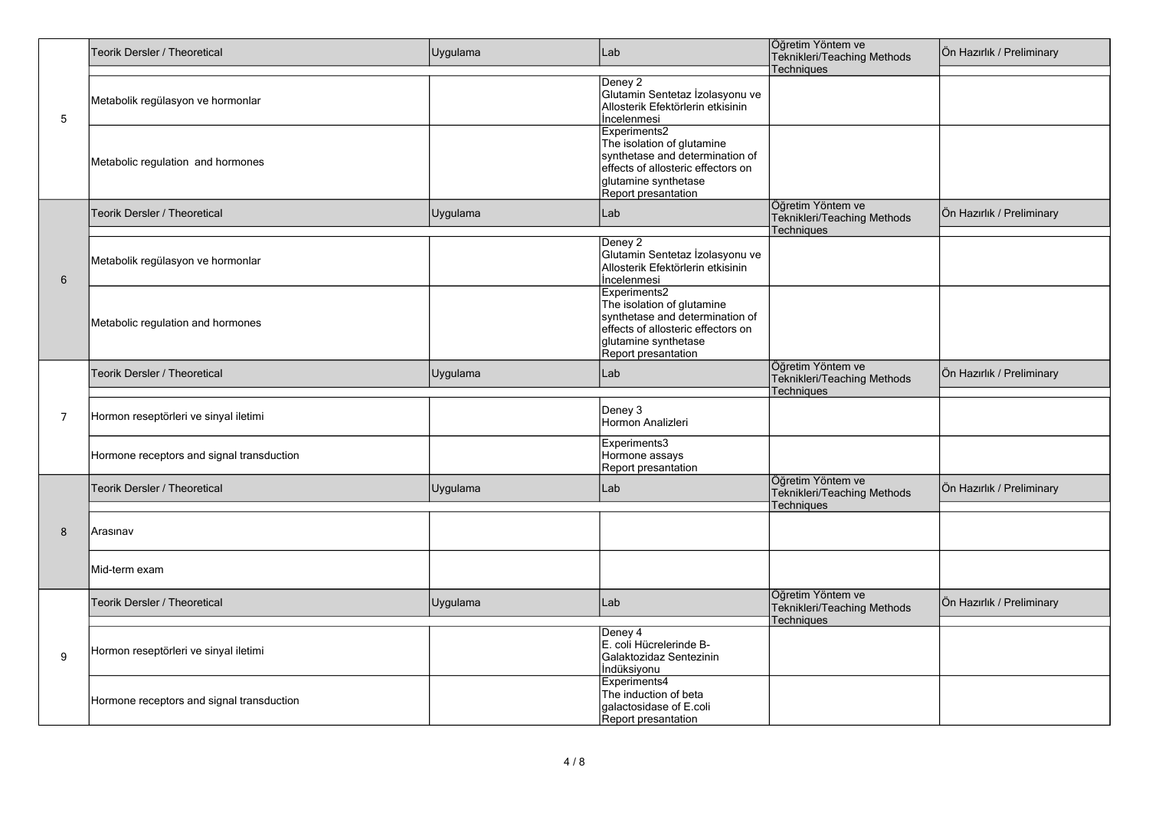| 5<br>$6\phantom{1}6$<br>$\overline{7}$ | Teorik Dersler / Theoretical              | Uygulama<br>Lab |                                                                                                                                                                    | Öğretim Yöntem ve<br>Teknikleri/Teaching Methods                      | Ön Hazırlık / Preliminary |  |  |
|----------------------------------------|-------------------------------------------|-----------------|--------------------------------------------------------------------------------------------------------------------------------------------------------------------|-----------------------------------------------------------------------|---------------------------|--|--|
|                                        |                                           |                 |                                                                                                                                                                    | Techniques                                                            |                           |  |  |
|                                        | Metabolik regülasyon ve hormonlar         |                 | Deney 2<br>Glutamin Sentetaz İzolasyonu ve<br>Allosterik Efektörlerin etkisinin<br><i><u><b>Incelenmesi</b></u></i>                                                |                                                                       |                           |  |  |
|                                        | Metabolic regulation and hormones         |                 | Experiments2<br>The isolation of glutamine<br>synthetase and determination of<br>effects of allosteric effectors on<br>glutamine synthetase<br>Report presantation |                                                                       |                           |  |  |
|                                        | Teorik Dersler / Theoretical              | Uygulama        | Lab                                                                                                                                                                | Öğretim Yöntem ve<br>Teknikleri/Teaching Methods<br>Techniques        | Ön Hazırlık / Preliminary |  |  |
|                                        | Metabolik regülasyon ve hormonlar         |                 | Deney 2<br>Glutamin Sentetaz İzolasyonu ve<br>Allosterik Efektörlerin etkisinin<br>İncelenmesi                                                                     |                                                                       |                           |  |  |
|                                        | Metabolic regulation and hormones         |                 | Experiments2<br>The isolation of glutamine<br>synthetase and determination of<br>effects of allosteric effectors on<br>glutamine synthetase<br>Report presantation |                                                                       |                           |  |  |
|                                        | Teorik Dersler / Theoretical              | Uygulama        | Lab                                                                                                                                                                | Öğretim Yöntem ve<br>Teknikleri/Teaching Methods<br>Techniques        | Ön Hazırlık / Preliminary |  |  |
|                                        | Hormon reseptörleri ve sinyal iletimi     |                 | Deney 3<br>Hormon Analizleri                                                                                                                                       |                                                                       |                           |  |  |
|                                        | Hormone receptors and signal transduction |                 | Experiments3<br>Hormone assays<br>Report presantation                                                                                                              |                                                                       |                           |  |  |
|                                        | Teorik Dersler / Theoretical              | Uygulama        | Lab                                                                                                                                                                | Öğretim Yöntem ve<br>Teknikleri/Teaching Methods<br><b>Techniques</b> | Ön Hazırlık / Preliminary |  |  |
| 8                                      | Arasınav                                  |                 |                                                                                                                                                                    |                                                                       |                           |  |  |
|                                        | Mid-term exam                             |                 |                                                                                                                                                                    |                                                                       |                           |  |  |
|                                        | Teorik Dersler / Theoretical              | Uygulama        | Lab                                                                                                                                                                | Öğretim Yöntem ve<br>Teknikleri/Teaching Methods<br>Techniques        | Ön Hazırlık / Preliminary |  |  |
| 9                                      | Hormon reseptörleri ve sinyal iletimi     |                 | Deney 4<br>E. coli Hücrelerinde B-<br>Galaktozidaz Sentezinin<br>İndüksiyonu                                                                                       |                                                                       |                           |  |  |
|                                        | Hormone receptors and signal transduction |                 | Experiments4<br>The induction of beta<br>galactosidase of E.coli<br>Report presantation                                                                            |                                                                       |                           |  |  |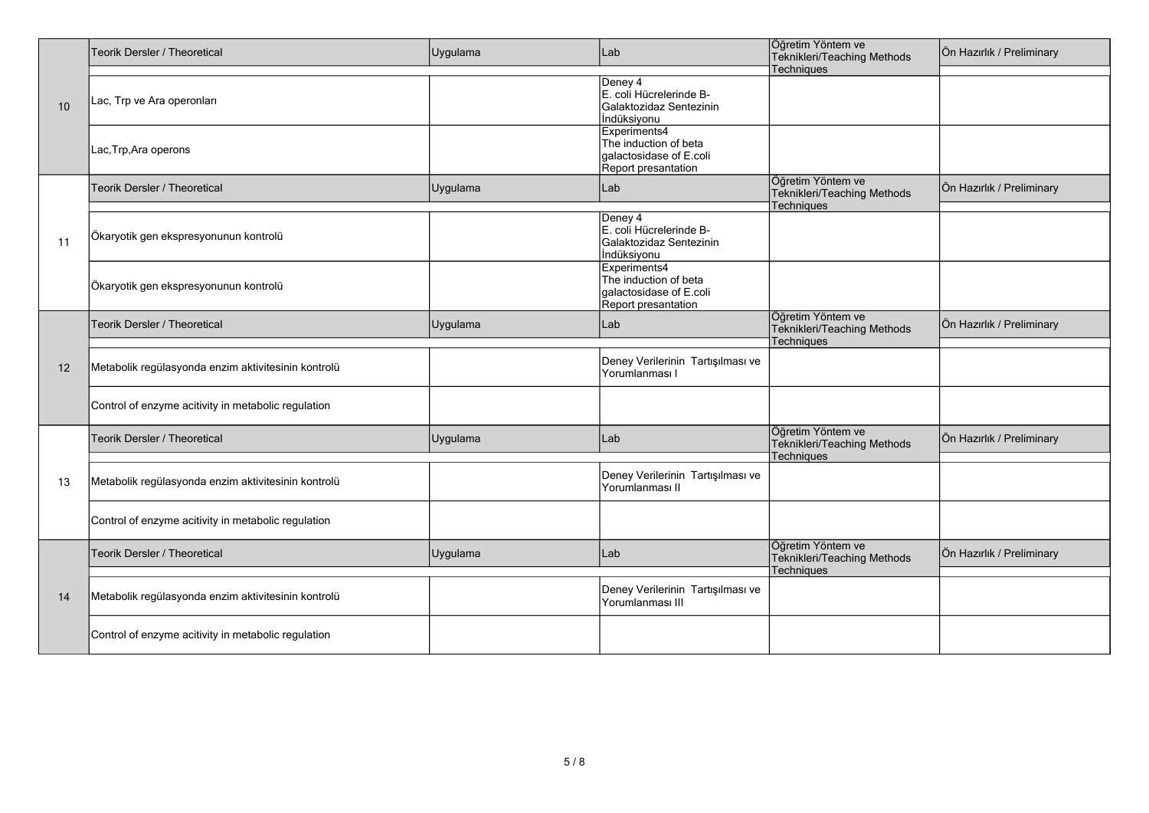|    | Teorik Dersler / Theoretical                        | Uygulama | Lab                               | Öğretim Yöntem ve<br>Teknikleri/Teaching Methods | Ön Hazırlık / Preliminary |
|----|-----------------------------------------------------|----------|-----------------------------------|--------------------------------------------------|---------------------------|
|    |                                                     |          |                                   | Techniques                                       |                           |
|    |                                                     |          | Deney 4                           |                                                  |                           |
|    |                                                     |          | E. coli Hücrelerinde B-           |                                                  |                           |
| 10 | Lac, Trp ve Ara operonları                          |          | Galaktozidaz Sentezinin           |                                                  |                           |
|    |                                                     |          | İndüksiyonu                       |                                                  |                           |
|    |                                                     |          | Experiments4                      |                                                  |                           |
|    |                                                     |          | The induction of beta             |                                                  |                           |
|    | Lac, Trp, Ara operons                               |          | galactosidase of E.coli           |                                                  |                           |
|    |                                                     |          |                                   |                                                  |                           |
|    |                                                     |          | Report presantation               |                                                  |                           |
|    | Teorik Dersler / Theoretical                        | Uygulama | Lab                               | Öğretim Yöntem ve                                | Ön Hazırlık / Preliminary |
|    |                                                     |          |                                   | Teknikleri/Teaching Methods                      |                           |
|    |                                                     |          |                                   | Techniques                                       |                           |
|    |                                                     |          | Deney 4                           |                                                  |                           |
|    |                                                     |          | E. coli Hücrelerinde B-           |                                                  |                           |
| 11 | Ökaryotik gen ekspresyonunun kontrolü               |          | Galaktozidaz Sentezinin           |                                                  |                           |
|    |                                                     |          | İndüksiyonu                       |                                                  |                           |
|    |                                                     |          | Experiments4                      |                                                  |                           |
|    |                                                     |          | The induction of beta             |                                                  |                           |
|    | Ökaryotik gen ekspresyonunun kontrolü               |          |                                   |                                                  |                           |
|    |                                                     |          | galactosidase of E.coli           |                                                  |                           |
|    |                                                     |          | Report presantation               |                                                  |                           |
|    | Teorik Dersler / Theoretical                        | Uygulama | Lab                               | Öğretim Yöntem ve                                | Ön Hazırlık / Preliminary |
|    |                                                     |          |                                   | Teknikleri/Teaching Methods                      |                           |
|    |                                                     |          |                                   | Techniques                                       |                           |
|    |                                                     |          |                                   |                                                  |                           |
| 12 | Metabolik regülasyonda enzim aktivitesinin kontrolü |          | Deney Verilerinin Tartışılması ve |                                                  |                           |
|    |                                                     |          | Yorumlanması I                    |                                                  |                           |
|    |                                                     |          |                                   |                                                  |                           |
|    |                                                     |          |                                   |                                                  |                           |
|    | Control of enzyme acitivity in metabolic regulation |          |                                   |                                                  |                           |
|    |                                                     |          |                                   |                                                  |                           |
|    | Teorik Dersler / Theoretical                        | Uygulama | Lab                               | Öğretim Yöntem ve                                | Ön Hazırlık / Preliminary |
|    |                                                     |          |                                   | Teknikleri/Teaching Methods                      |                           |
|    |                                                     |          |                                   | Techniques                                       |                           |
|    |                                                     |          |                                   |                                                  |                           |
| 13 | Metabolik regülasyonda enzim aktivitesinin kontrolü |          | Deney Verilerinin Tartışılması ve |                                                  |                           |
|    |                                                     |          | Yorumlanması II                   |                                                  |                           |
|    |                                                     |          |                                   |                                                  |                           |
|    | Control of enzyme acitivity in metabolic regulation |          |                                   |                                                  |                           |
|    |                                                     |          |                                   |                                                  |                           |
|    |                                                     |          |                                   |                                                  |                           |
|    | <b>Teorik Dersler / Theoretical</b>                 | Uygulama | Lab                               | Öğretim Yöntem ve                                | Ön Hazırlık / Preliminary |
|    |                                                     |          |                                   | Teknikleri/Teaching Methods                      |                           |
|    |                                                     |          |                                   | Techniques                                       |                           |
|    |                                                     |          |                                   |                                                  |                           |
| 14 | Metabolik regülasyonda enzim aktivitesinin kontrolü |          | Deney Verilerinin Tartışılması ve |                                                  |                           |
|    |                                                     |          | Yorumlanması III                  |                                                  |                           |
|    |                                                     |          |                                   |                                                  |                           |
|    | Control of enzyme acitivity in metabolic regulation |          |                                   |                                                  |                           |
|    |                                                     |          |                                   |                                                  |                           |
|    |                                                     |          |                                   |                                                  |                           |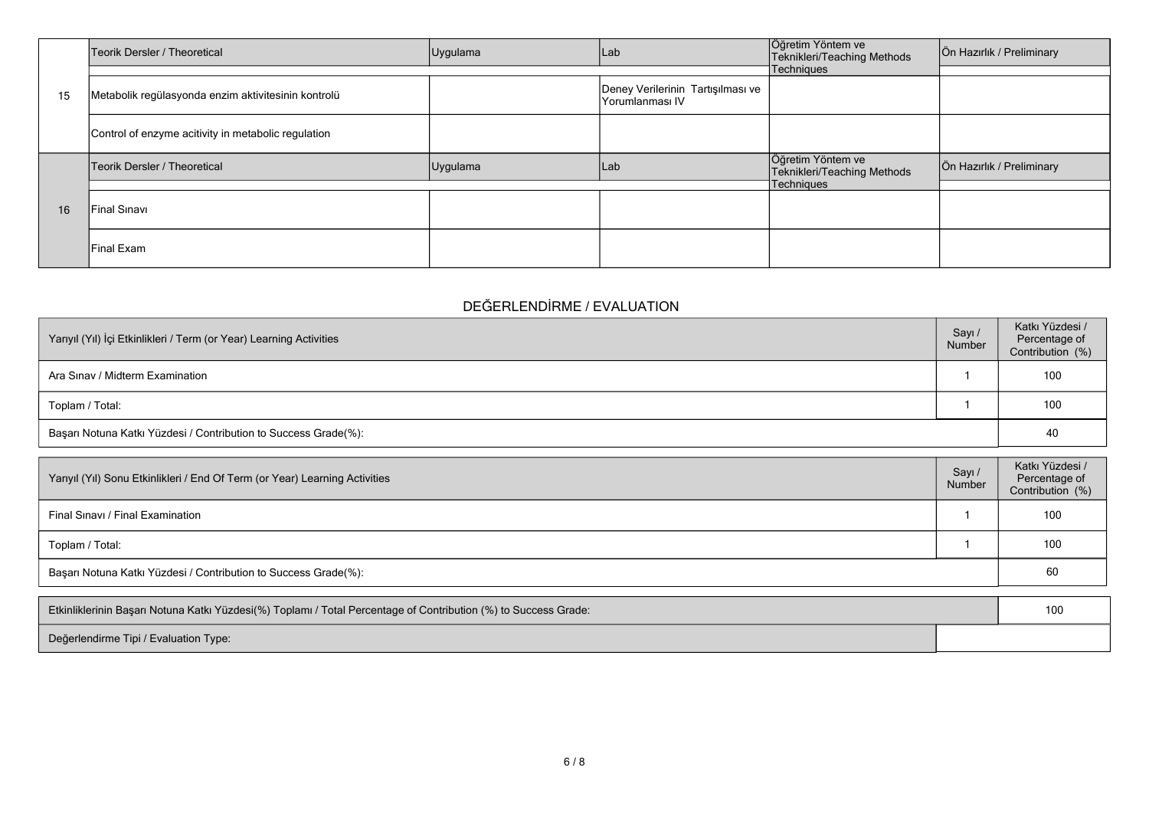|    | Teorik Dersler / Theoretical                        | Uygulama                       |                                   | Öğretim Yöntem ve<br>Teknikleri/Teaching Methods | Ön Hazırlık / Preliminary |
|----|-----------------------------------------------------|--------------------------------|-----------------------------------|--------------------------------------------------|---------------------------|
|    |                                                     |                                |                                   | Techniques                                       |                           |
| 15 | Metabolik regülasyonda enzim aktivitesinin kontrolü | Lab<br>Yorumlanması IV<br> Lab | Deney Verilerinin Tartışılması ve |                                                  |                           |
| 16 | Control of enzyme acitivity in metabolic regulation |                                |                                   |                                                  |                           |
|    | Teorik Dersler / Theoretical                        | Uygulama                       |                                   | Öğretim Yöntem ve<br>Teknikleri/Teaching Methods | Ön Hazırlık / Preliminary |
|    |                                                     |                                |                                   | Techniques                                       |                           |
|    | Final Sinavi                                        |                                |                                   |                                                  |                           |
|    | Final Exam                                          |                                |                                   |                                                  |                           |

## **DEĞERLENDİRME / EVALUATION**

| Yarıyıl (Yıl) İçi Etkinlikleri / Term (or Year) Learning Activities | Sayı /<br>Number | Katkı Yüzdesi /<br>Percentage of<br>Contribution (%) |
|---------------------------------------------------------------------|------------------|------------------------------------------------------|
| Ara Sinav / Midterm Examination                                     |                  | 100                                                  |
| Toplam / Total:                                                     |                  | 100                                                  |
| Başarı Notuna Katkı Yüzdesi / Contribution to Success Grade(%):     |                  | 40                                                   |

| Yarıyıl (Yıl) Sonu Etkinlikleri / End Of Term (or Year) Learning Activities | Sayı /<br>Number | Katkı Yüzdesi /<br>Percentage of<br>Contribution (%) |
|-----------------------------------------------------------------------------|------------------|------------------------------------------------------|
| Final Sinavi / Final Examination                                            |                  | 100                                                  |
| Toplam / Total:                                                             |                  | 100                                                  |
| Başarı Notuna Katkı Yüzdesi / Contribution to Success Grade(%):             |                  | 60                                                   |

| Etkinliklerinin Başarı Notuna Katkı Yüzdesi(%) Toplamı / Total Percentage of Contribution (%) to Success Grade: |  |  |
|-----------------------------------------------------------------------------------------------------------------|--|--|
| Değerlendirme Tipi / Evaluation Type:                                                                           |  |  |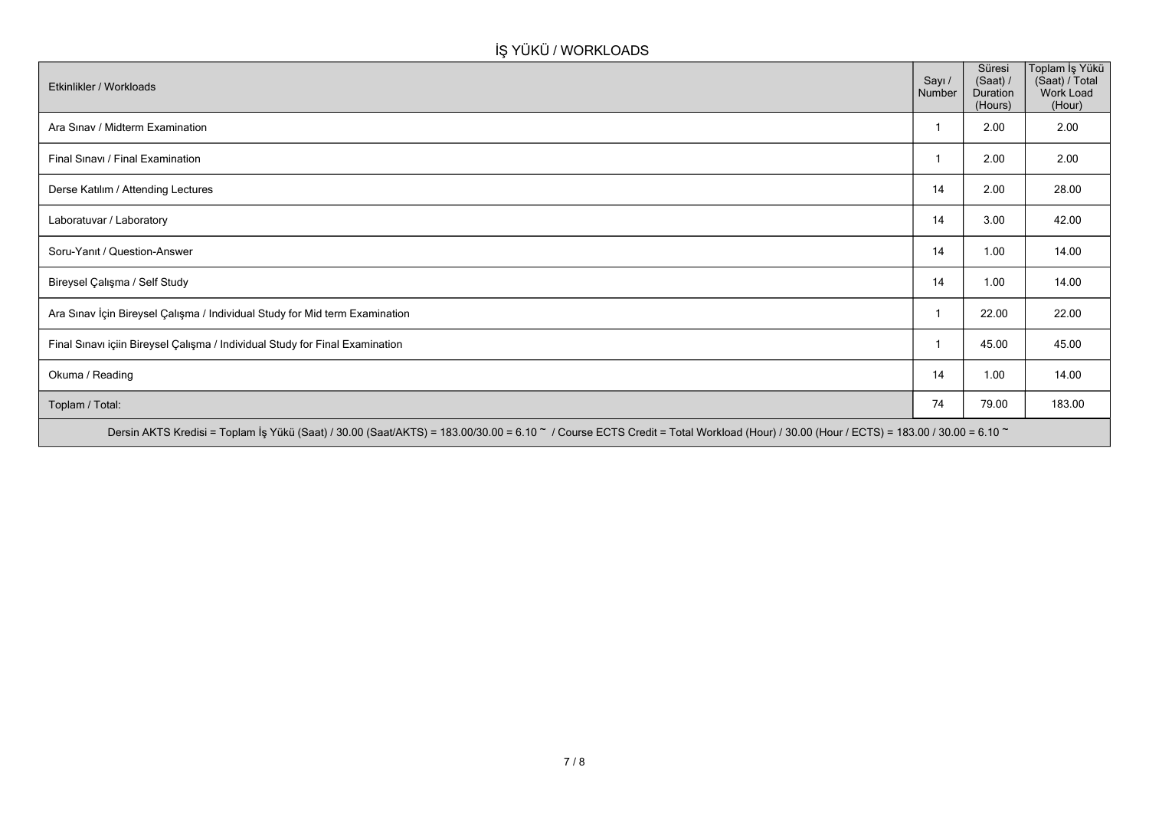# **İŞ YÜKÜ / WORKLOADS**

| Etkinlikler / Workloads                                                                                                                                                              | Sayı /<br>Number | Süresi<br>(Saat) /<br>Duration<br>(Hours) | Toplam İş Yükü<br>(Saat) / Total<br>Work Load<br>(Hour) |
|--------------------------------------------------------------------------------------------------------------------------------------------------------------------------------------|------------------|-------------------------------------------|---------------------------------------------------------|
| Ara Sinav / Midterm Examination                                                                                                                                                      |                  | 2.00                                      | 2.00                                                    |
| Final Sinavi / Final Examination                                                                                                                                                     |                  | 2.00                                      | 2.00                                                    |
| Derse Katılım / Attending Lectures                                                                                                                                                   | 14               | 2.00                                      | 28.00                                                   |
| Laboratuvar / Laboratory                                                                                                                                                             | 14               | 3.00                                      | 42.00                                                   |
| Soru-Yanıt / Question-Answer                                                                                                                                                         | 14               | 1.00                                      | 14.00                                                   |
| Bireysel Çalışma / Self Study                                                                                                                                                        | 14               | 1.00                                      | 14.00                                                   |
| Ara Sınav İçin Bireysel Çalışma / Individual Study for Mid term Examination                                                                                                          | -1               | 22.00                                     | 22.00                                                   |
| Final Sınavı içiin Bireysel Çalışma / Individual Study for Final Examination                                                                                                         |                  | 45.00                                     | 45.00                                                   |
| Okuma / Reading                                                                                                                                                                      | 14               | 1.00                                      | 14.00                                                   |
| Toplam / Total:                                                                                                                                                                      | 74               | 79.00                                     | 183.00                                                  |
| Dersin AKTS Kredisi = Toplam İş Yükü (Saat) / 30.00 (Saat/AKTS) = 183.00/30.00 = 6.10 ~ / Course ECTS Credit = Total Workload (Hour) / 30.00 (Hour / ECTS) = 183.00 / 30.00 = 6.10 ~ |                  |                                           |                                                         |